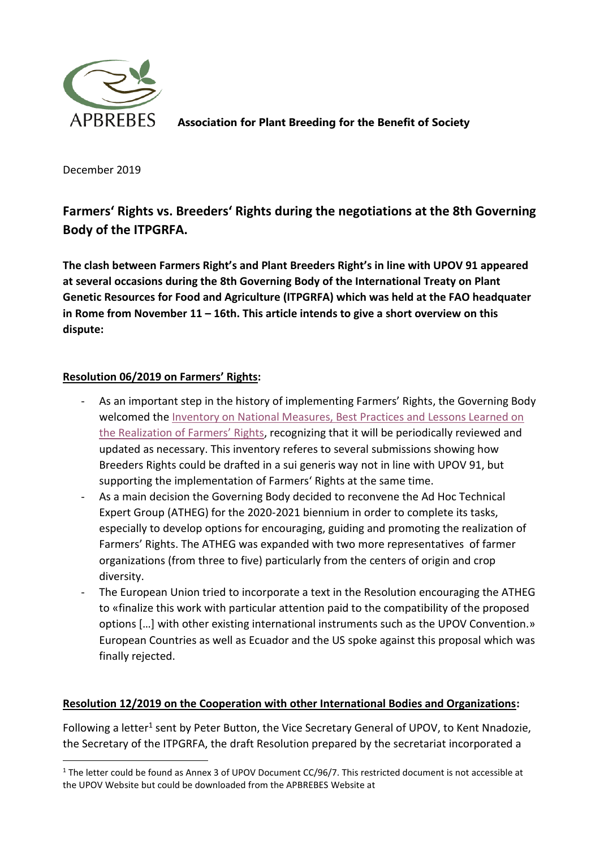

**Association for Plant Breeding for the Benefit of Society**

December 2019

 $\overline{\phantom{a}}$ 

# **Farmers' Rights vs. Breeders' Rights during the negotiations at the 8th Governing Body of the ITPGRFA.**

**The clash between Farmers Right's and Plant Breeders Right's in line with UPOV 91 appeared at several occasions during the 8th Governing Body of the International Treaty on Plant Genetic Resources for Food and Agriculture (ITPGRFA) which was held at the FAO headquater in Rome from November 11 – 16th. This article intends to give a short overview on this dispute:** 

# **Resolution 06/2019 on Farmers' Rights:**

- As an important step in the history of implementing Farmers' Rights, the Governing Body welcomed th[e Inventory on National Measures, Best Practices and Lessons Learned on](http://www.fao.org/3/ca4460en/ca4460en.pdf)  [the Realization of Farmers'](http://www.fao.org/3/ca4460en/ca4460en.pdf) Rights, recognizing that it will be periodically reviewed and updated as necessary. This inventory referes to several submissions showing how Breeders Rights could be drafted in a sui generis way not in line with UPOV 91, but supporting the implementation of Farmers' Rights at the same time.
- As a main decision the Governing Body decided to reconvene the Ad Hoc Technical Expert Group (ATHEG) for the 2020-2021 biennium in order to complete its tasks, especially to develop options for encouraging, guiding and promoting the realization of Farmers' Rights. The ATHEG was expanded with two more representatives of farmer organizations (from three to five) particularly from the centers of origin and crop diversity.
- The European Union tried to incorporate a text in the Resolution encouraging the ATHEG to «finalize this work with particular attention paid to the compatibility of the proposed options […] with other existing international instruments such as the UPOV Convention.» European Countries as well as Ecuador and the US spoke against this proposal which was finally rejected.

### **Resolution 12/2019 on the Cooperation with other International Bodies and Organizations:**

Following a letter<sup>1</sup> sent by Peter Button, the Vice Secretary General of UPOV, to Kent Nnadozie, the Secretary of the ITPGRFA, the draft Resolution prepared by the secretariat incorporated a

<sup>1</sup> The letter could be found as Annex 3 of UPOV Document CC/96/7. This restricted document is not accessible at the UPOV Website but could be downloaded from the APBREBES Website at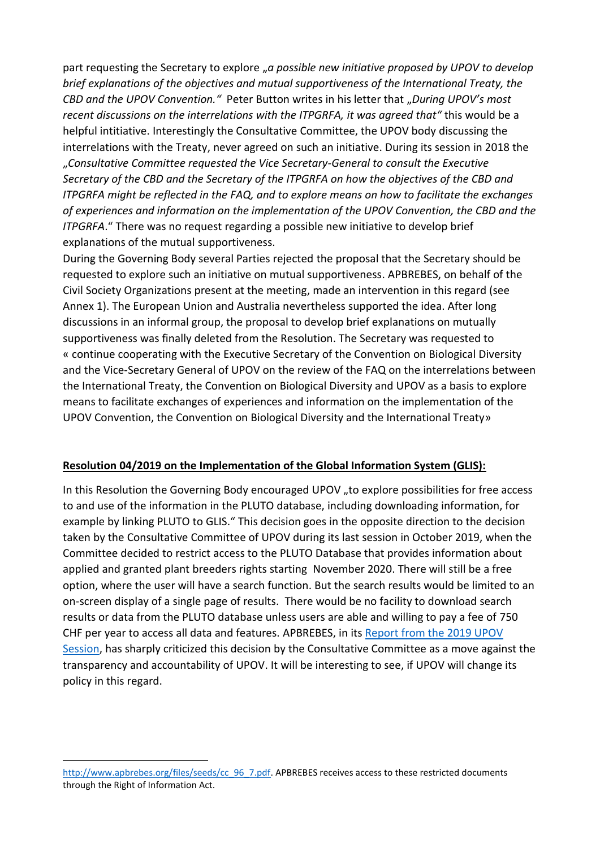part requesting the Secretary to explore "*a possible new initiative proposed by UPOV to develop brief explanations of the objectives and mutual supportiveness of the International Treaty, the CBD and the UPOV Convention.* " Peter Button writes in his letter that "During UPOV's most *recent discussions on the interrelations with the ITPGRFA, it was agreed that"* this would be a helpful intitiative. Interestingly the Consultative Committee, the UPOV body discussing the interrelations with the Treaty, never agreed on such an initiative. During its session in 2018 the "*Consultative Committee requested the Vice Secretary-General to consult the Executive Secretary of the CBD and the Secretary of the ITPGRFA on how the objectives of the CBD and ITPGRFA might be reflected in the FAQ, and to explore means on how to facilitate the exchanges of experiences and information on the implementation of the UPOV Convention, the CBD and the ITPGRFA*." There was no request regarding a possible new initiative to develop brief explanations of the mutual supportiveness.

During the Governing Body several Parties rejected the proposal that the Secretary should be requested to explore such an initiative on mutual supportiveness. APBREBES, on behalf of the Civil Society Organizations present at the meeting, made an intervention in this regard (see Annex 1). The European Union and Australia nevertheless supported the idea. After long discussions in an informal group, the proposal to develop brief explanations on mutually supportiveness was finally deleted from the Resolution. The Secretary was requested to « continue cooperating with the Executive Secretary of the Convention on Biological Diversity and the Vice-Secretary General of UPOV on the review of the FAQ on the interrelations between the International Treaty, the Convention on Biological Diversity and UPOV as a basis to explore means to facilitate exchanges of experiences and information on the implementation of the UPOV Convention, the Convention on Biological Diversity and the International Treaty»

#### **Resolution 04/2019 on the Implementation of the Global Information System (GLIS):**

In this Resolution the Governing Body encouraged UPOV "to explore possibilities for free access to and use of the information in the PLUTO database, including downloading information, for example by linking PLUTO to GLIS." This decision goes in the opposite direction to the decision taken by the Consultative Committee of UPOV during its last session in October 2019, when the Committee decided to restrict access to the PLUTO Database that provides information about applied and granted plant breeders rights starting November 2020. There will still be a free option, where the user will have a search function. But the search results would be limited to an on-screen display of a single page of results. There would be no facility to download search results or data from the PLUTO database unless users are able and willing to pay a fee of 750 CHF per year to access all data and features. APBREBES, in its [Report from the 2019 UPOV](http://www.apbrebes.org/news/apbrebes-report-2019-upov-session)  [Session,](http://www.apbrebes.org/news/apbrebes-report-2019-upov-session) has sharply criticized this decision by the Consultative Committee as a move against the transparency and accountability of UPOV. It will be interesting to see, if UPOV will change its policy in this regard.

 $\overline{\phantom{a}}$ 

[http://www.apbrebes.org/files/seeds/cc\\_96\\_7.pdf.](http://www.apbrebes.org/files/seeds/cc_96_7.pdf) APBREBES receives access to these restricted documents through the Right of Information Act.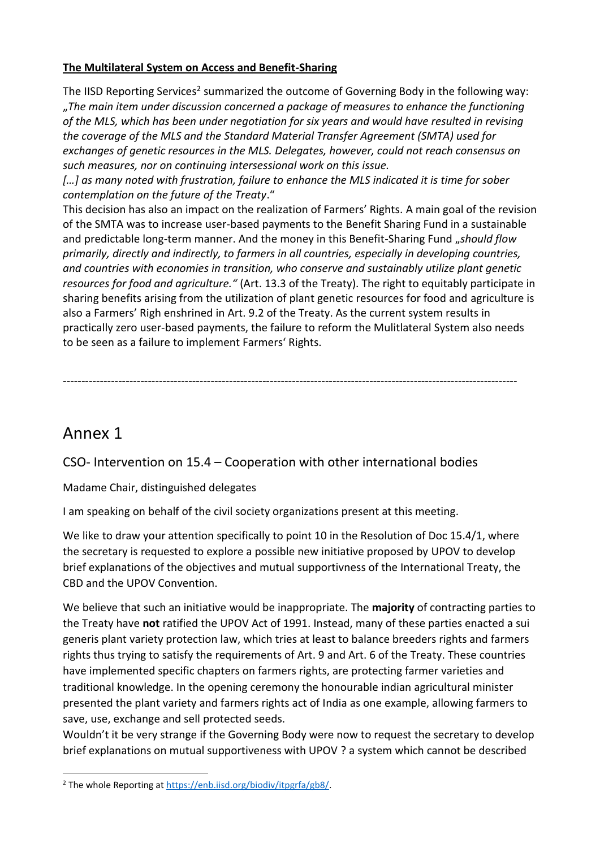# **The Multilateral System on Access and Benefit-Sharing**

The IISD Reporting Services<sup>2</sup> summarized the outcome of Governing Body in the following way: "*The main item under discussion concerned a package of measures to enhance the functioning of the MLS, which has been under negotiation for six years and would have resulted in revising the coverage of the MLS and the Standard Material Transfer Agreement (SMTA) used for exchanges of genetic resources in the MLS. Delegates, however, could not reach consensus on such measures, nor on continuing intersessional work on this issue.*

*[…] as many noted with frustration, failure to enhance the MLS indicated it is time for sober contemplation on the future of the Treaty*."

This decision has also an impact on the realization of Farmers' Rights. A main goal of the revision of the SMTA was to increase user-based payments to the Benefit Sharing Fund in a sustainable and predictable long-term manner. And the money in this Benefit-Sharing Fund "*should flow primarily, directly and indirectly, to farmers in all countries, especially in developing countries, and countries with economies in transition, who conserve and sustainably utilize plant genetic resources for food and agriculture."* (Art. 13.3 of the Treaty). The right to equitably participate in sharing benefits arising from the utilization of plant genetic resources for food and agriculture is also a Farmers' Righ enshrined in Art. 9.2 of the Treaty. As the current system results in practically zero user-based payments, the failure to reform the Mulitlateral System also needs to be seen as a failure to implement Farmers' Rights.

---------------------------------------------------------------------------------------------------------------------------

# Annex 1

 $\overline{\phantom{a}}$ 

CSO- Intervention on 15.4 – Cooperation with other international bodies

Madame Chair, distinguished delegates

I am speaking on behalf of the civil society organizations present at this meeting.

We like to draw your attention specifically to point 10 in the Resolution of Doc 15.4/1, where the secretary is requested to explore a possible new initiative proposed by UPOV to develop brief explanations of the objectives and mutual supportivness of the International Treaty, the CBD and the UPOV Convention.

We believe that such an initiative would be inappropriate. The **majority** of contracting parties to the Treaty have **not** ratified the UPOV Act of 1991. Instead, many of these parties enacted a sui generis plant variety protection law, which tries at least to balance breeders rights and farmers rights thus trying to satisfy the requirements of Art. 9 and Art. 6 of the Treaty. These countries have implemented specific chapters on farmers rights, are protecting farmer varieties and traditional knowledge. In the opening ceremony the honourable indian agricultural minister presented the plant variety and farmers rights act of India as one example, allowing farmers to save, use, exchange and sell protected seeds.

Wouldn't it be very strange if the Governing Body were now to request the secretary to develop brief explanations on mutual supportiveness with UPOV ? a system which cannot be described

<sup>2</sup> The whole Reporting at [https://enb.iisd.org/biodiv/itpgrfa/gb8/.](https://enb.iisd.org/biodiv/itpgrfa/gb8/)